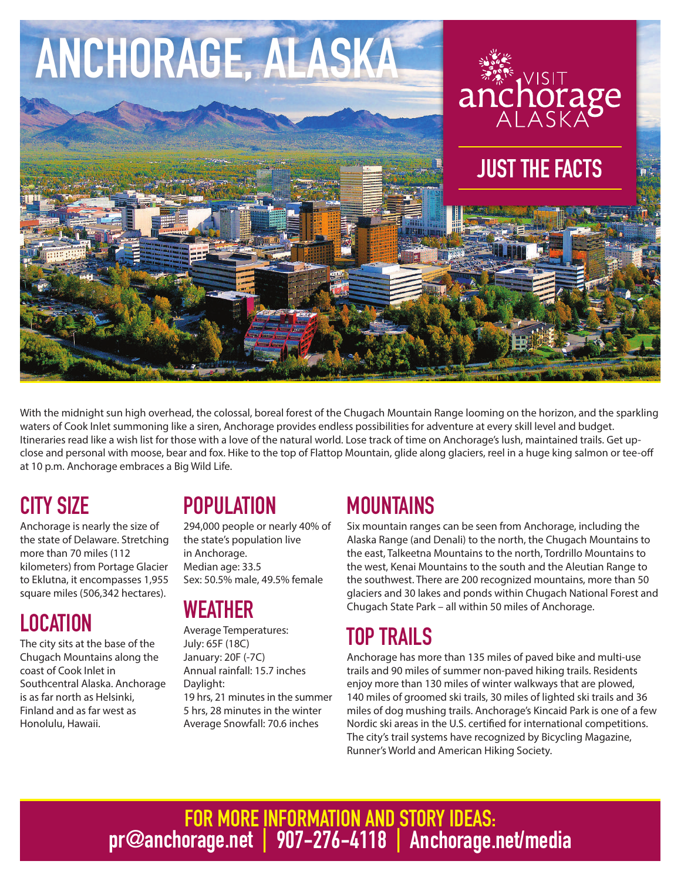

With the midnight sun high overhead, the colossal, boreal forest of the Chugach Mountain Range looming on the horizon, and the sparkling waters of Cook Inlet summoning like a siren, Anchorage provides endless possibilities for adventure at every skill level and budget. Itineraries read like a wish list for those with a love of the natural world. Lose track of time on Anchorage's lush, maintained trails. Get upclose and personal with moose, bear and fox. Hike to the top of Flattop Mountain, glide along glaciers, reel in a huge king salmon or tee-off at 10 p.m. Anchorage embraces a Big Wild Life.

## CITY SIZE

Anchorage is nearly the size of the state of Delaware. Stretching more than 70 miles (112 kilometers) from Portage Glacier to Eklutna, it encompasses 1,955 square miles (506,342 hectares).

### LOCATION

The city sits at the base of the Chugach Mountains along the coast of Cook Inlet in Southcentral Alaska. Anchorage is as far north as Helsinki, Finland and as far west as Honolulu, Hawaii.

## **POPULATION**

294,000 people or nearly 40% of the state's population live in Anchorage. Median age: 33.5 Sex: 50.5% male, 49.5% female

## **WEATHER**

Average Temperatures: July: 65F (18C) January: 20F (-7C) Annual rainfall: 15.7 inches Daylight: 19 hrs, 21 minutes in the summer 5 hrs, 28 minutes in the winter Average Snowfall: 70.6 inches

## **MOUNTAINS**

Six mountain ranges can be seen from Anchorage, including the Alaska Range (and Denali) to the north, the Chugach Mountains to the east, Talkeetna Mountains to the north, Tordrillo Mountains to the west, Kenai Mountains to the south and the Aleutian Range to the southwest. There are 200 recognized mountains, more than 50 glaciers and 30 lakes and ponds within Chugach National Forest and Chugach State Park – all within 50 miles of Anchorage.

### TOP TRAILS

Anchorage has more than 135 miles of paved bike and multi-use trails and 90 miles of summer non-paved hiking trails. Residents enjoy more than 130 miles of winter walkways that are plowed, 140 miles of groomed ski trails, 30 miles of lighted ski trails and 36 miles of dog mushing trails. Anchorage's Kincaid Park is one of a few Nordic ski areas in the U.S. certified for international competitions. The city's trail systems have recognized by Bicycling Magazine, Runner's World and American Hiking Society.